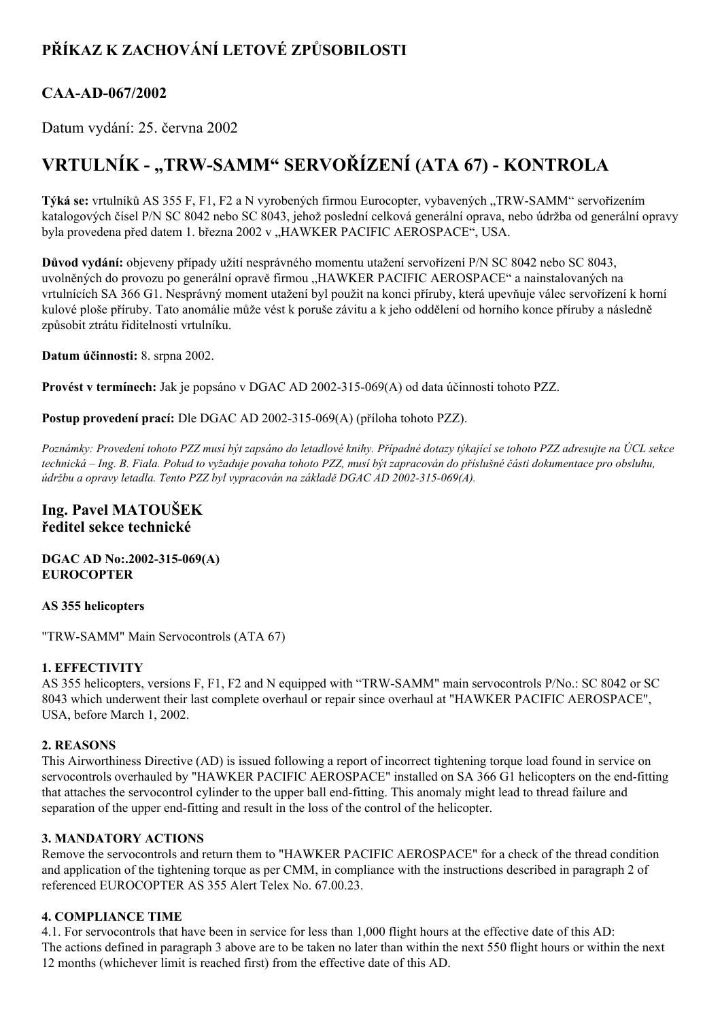## **PŘÍKAZ K ZACHOVÁNÍ LETOVÉ ZPŮSOBILOSTI**

### CAA-AD-067/2002

Datum vydání: 25. června 2002

# **VRTULNÍK "TRWSAMM" SERVOŘÍZENÍ (ATA 67) KONTROLA**

Týká se: vrtulníků AS 355 F, F1, F2 a N vyrobených firmou Eurocopter, vybavených "TRW-SAMM" servořízením katalogových čísel P/N SC 8042 nebo SC 8043, jehož poslední celková generální oprava, nebo údržba od generální opravy byla provedena před datem 1. března 2002 v "HAWKER PACIFIC AEROSPACE", USA.

**Důvod vydání:** objeveny případy užití nesprávného momentu utažení servořízení P/N SC 8042 nebo SC 8043, uvolněných do provozu po generální opravě firmou "HAWKER PACIFIC AEROSPACE" a nainstalovaných na vrtulnících SA 366 G1. Nesprávný moment utažení byl použit na konci příruby, která upevňuje válec servořízení k horní kulové ploše příruby. Tato anomálie může vést k poruše závitu a k jeho oddělení od horního konce příruby a následně způsobit ztrátu řiditelnosti vrtulníku.

**Datum účinnosti:** 8. srpna 2002.

**Provést v termínech:** Jak je popsáno v DGAC AD 2002-315-069(A) od data účinnosti tohoto PZZ.

**Postup provedení prací:** Dle DGAC AD 2002-315-069(A) (příloha tohoto PZZ).

Poznámky: Provedení tohoto PZZ musí být zapsáno do letadlové knihy. Případné dotazy týkající se tohoto PZZ adresujte na ÚCL sekce technická – Ing. B. Fiala. Pokud to vyžaduje povaha tohoto PZZ, musí být zapracován do příslušné části dokumentace pro obsluhu, *údržbu a opravy letadla. Tento PZZ byl vypracován na základě DGAC AD 2002315069(A).*

#### **Ing. Pavel MATOUŠEK ředitel sekce technické**

**DGAC AD No:.2002-315-069(A) EUROCOPTER**

#### **AS 355 helicopters**

"TRW-SAMM" Main Servocontrols (ATA 67)

#### **1. EFFECTIVITY**

AS 355 helicopters, versions F, F1, F2 and N equipped with "TRW-SAMM" main servocontrols P/No.: SC 8042 or SC 8043 which underwent their last complete overhaul or repair since overhaul at "HAWKER PACIFIC AEROSPACE", USA, before March 1, 2002.

#### **2. REASONS**

This Airworthiness Directive (AD) is issued following a report of incorrect tightening torque load found in service on servocontrols overhauled by "HAWKER PACIFIC AEROSPACE" installed on SA 366 G1 helicopters on the end-fitting that attaches the servocontrol cylinder to the upper ball end-fitting. This anomaly might lead to thread failure and separation of the upper end-fitting and result in the loss of the control of the helicopter.

#### **3. MANDATORY ACTIONS**

Remove the servocontrols and return them to "HAWKER PACIFIC AEROSPACE" for a check of the thread condition and application of the tightening torque as per CMM, in compliance with the instructions described in paragraph 2 of referenced EUROCOPTER AS 355 Alert Telex No. 67.00.23.

#### **4. COMPLIANCE TIME**

4.1. For servocontrols that have been in service for less than 1,000 flight hours at the effective date of this AD: The actions defined in paragraph 3 above are to be taken no later than within the next 550 flight hours or within the next 12 months (whichever limit is reached first) from the effective date of this AD.